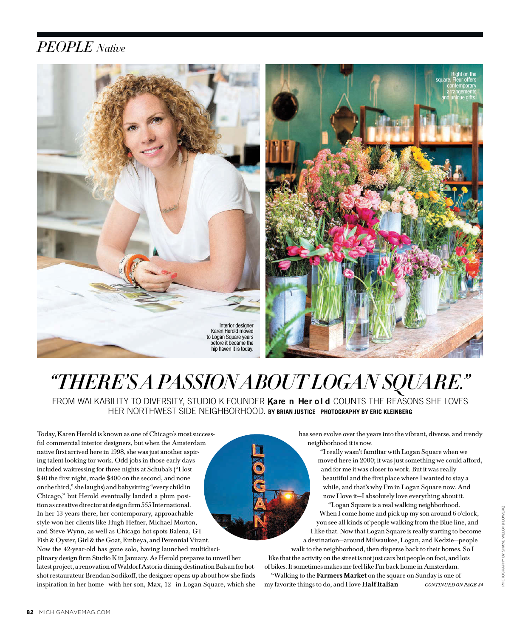# *PEOPLE Native*





## *"THERE'S A PASSION ABOUT LOGAN SQUARE."* FROM WALKABILITY TO DIVERSITY, STUDIO K FOUNDER **Kare n Her old** COUNTS THE REASONS SHE LOVES HER NORTHWEST SIDE NEIGHBORHOOD. **BY BRIAN JUSTICE PHOTOGRAPHY BY ERIC KLEINBERG**

Today, Karen Herold is known as one of Chicago's most successful commercial interior designers, but when the Amsterdam native first arrived here in 1998, she was just another aspiring talent looking for work. Odd jobs in those early days included waitressing for three nights at Schuba's ("I lost \$40 the first night, made \$400 on the second, and none on the third," she laughs) and babysitting "every child in Chicago," but Herold eventually landed a plum position as creative director at design firm 555 International. In her 13 years there, her contemporary, approachable style won her clients like Hugh Hefner, Michael Morton, and Steve Wynn, as well as Chicago hot spots Balena, GT Fish & Oyster, Girl & the Goat, Embeya, and Perennial Virant. Now the 42-year-old has gone solo, having launched multidisciplinary design firm Studio K in January. As Herold prepares to unveil her latest project, a renovation of Waldorf Astoria dining destination Balsan for hotshot restaurateur Brendan Sodikoff, the designer opens up about how she finds inspiration in her home—with her son, Max, 12—in Logan Square, which she

has seen evolve over the years into the vibrant, diverse, and trendy neighborhood it is now.

> "I really wasn't familiar with Logan Square when we moved here in 2000; it was just something we could afford, and for me it was closer to work. But it was really beautiful and the first place where I wanted to stay a while, and that's why I'm in Logan Square now. And now I love it—I absolutely love everything about it.

"Logan Square is a real walking neighborhood. When I come home and pick up my son around 6 o'clock, you see all kinds of people walking from the Blue line, and I like that. Now that Logan Square is really starting to become a destination—around Milwaukee, Logan, and Kedzie—people

walk to the neighborhood, then disperse back to their homes. So I like that the activity on the street is not just cars but people on foot, and lots

of bikes. It sometimes makes me feel like I'm back home in Amsterdam. "Walking to the **Farmers Market** on the square on Sunday is one of my favorite things to do, and I love Half Italian CONTINUED ON PAGE 84